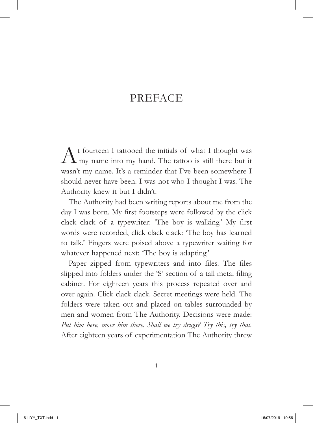## **PREFACE**

A<sup>t fourteen I tattooed the initials of what I thought was my name into my hand. The tattoo is still there but it</sup> wasn't my name. It's a reminder that I've been somewhere I should never have been. I was not who I thought I was. The Authority knew it but I didn't.

The Authority had been writing reports about me from the day I was born. My first footsteps were followed by the click clack clack of a typewriter: 'The boy is walking.' My first words were recorded, click clack clack: 'The boy has learned to talk.' Fingers were poised above a typewriter waiting for whatever happened next: 'The boy is adapting.'

Paper zipped from typewriters and into files. The files slipped into folders under the 'S' section of a tall metal filing cabinet. For eighteen years this process repeated over and over again. Click clack clack. Secret meetings were held. The folders were taken out and placed on tables surrounded by men and women from The Authority. Decisions were made: *Put him here, move him there. Shall we try drugs? Try this, try that.* After eighteen years of experimentation The Authority threw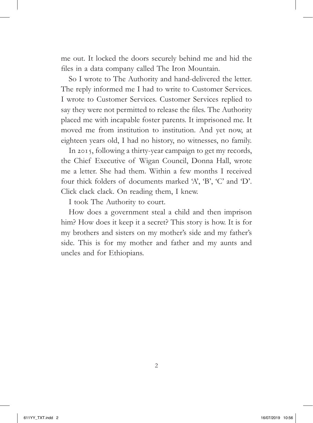me out. It locked the doors securely behind me and hid the files in a data company called The Iron Mountain.

So I wrote to The Authority and hand-delivered the letter. The reply informed me I had to write to Customer Services. I wrote to Customer Services. Customer Services replied to say they were not permitted to release the files. The Authority placed me with incapable foster parents. It imprisoned me. It moved me from institution to institution. And yet now, at eighteen years old, I had no history, no witnesses, no family.

In 2015, following a thirty-year campaign to get my records, the Chief Executive of Wigan Council, Donna Hall, wrote me a letter. She had them. Within a few months I received four thick folders of documents marked 'A', 'B', 'C' and 'D'. Click clack clack. On reading them, I knew.

I took The Authority to court.

How does a government steal a child and then imprison him? How does it keep it a secret? This story is how. It is for my brothers and sisters on my mother's side and my father's side. This is for my mother and father and my aunts and uncles and for Ethiopians.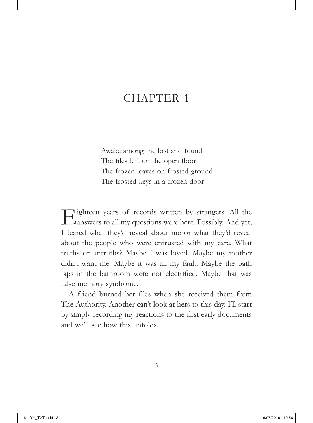## CHAPTER 1

Awake among the lost and found The files left on the open floor The frozen leaves on frosted ground The frosted keys in a frozen door

Eighteen years of records written by strangers. All the answers to all my questions were here. Possibly. And yet, I feared what they'd reveal about me or what they'd reveal about the people who were entrusted with my care. What truths or untruths? Maybe I was loved. Maybe my mother didn't want me. Maybe it was all my fault. Maybe the bath taps in the bathroom were not electrified. Maybe that was false memory syndrome.

A friend burned her files when she received them from The Authority. Another can't look at hers to this day. I'll start by simply recording my reactions to the first early documents and we'll see how this unfolds.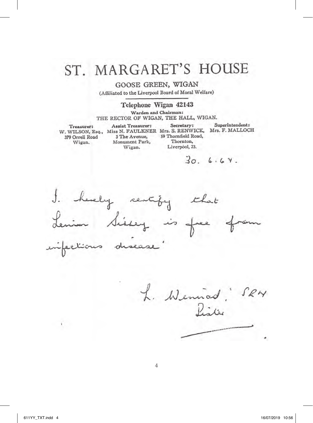# ST. MARGARET'S HOUSE

GOOSE GREEN, WIGAN

(Affiliated to the Liverpool Board of Moral Welfare)

#### Telephone Wigan 42143 Warden and Chairman: THE RECTOR OF WIGAN, THE HALL, WIGAN.

Treasurer: W. WILSON, Esq., Miss N. FAULKNER Mrs. S. RENWICK, 379 Orrell Road Wigan.

**Assist Treasurer:** 3 The Avenue, 59 Thornfield Road, Monument Park, Wigan.

Thornton, Liverpool, 23.

Secretary:

Superintendent: Mrs. F. MALLOCH

 $30.4.64.$ 

that  $200$  $\sigma$ 

L. Wennas  $\sim$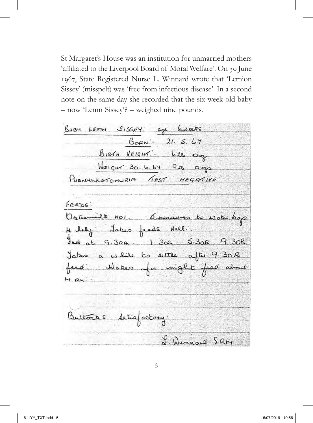St Margaret's House was an institution for unmarried mothers 'affiliated to the Liverpool Board of Moral Welfare'. On 30 June 1967, State Registered Nurse L. Winnard wrote that 'Lemion Sissey' (misspelt) was 'free from infectious disease'. In a second note on the same day she recorded that the six-week-old baby – now 'Lemn Sissey'? – weighed nine pounds.

BABY LEMM SISSEY age bweeks  $B_{OBN} = 21.5.67$ BIRTH NEIGHT : 6lls 00g WEIGHT 30.6.64 9el PHENYLKETONURIA (IEST NEGRTINE FEEDS Ostesmilk NOI. Sinegauses to water 600 He hely Jakes feeds Nell.  $344$  at 9.30a. 1.30a  $5.30R$  9.30h Jakes a while to settle after 9.30R feed wakes for inglit feed about H An: Bultochs Satisfactory L. Winnard SRM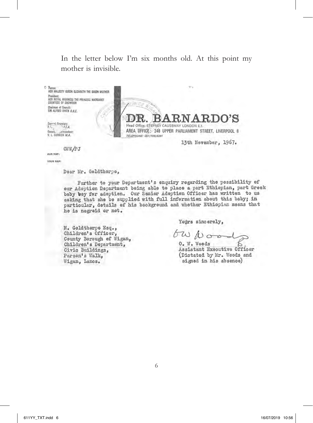In the letter below I'm six months old. At this point my mother is invisible.

C Patron HER MAJESTY QUEEN ELIZABETH THE QUEEN MOTHER President: FINANCIAL<br>HER ROYAL HIGHNESS THE PRINCESS MARGARET<br>COUNTESS OF SNOWDON Chairman of Council:<br>SIR ALFRED OWEN G.B.E.

General Segretar F.C.A. erintendent: Generi V. L. CORNISH M.A.

Head Office: STEPNEY CAUSEWAY LONDON E.1 AREA OFFICE: 248 UPPER PARLIAMENT STREET, LIVERPOOL 8 TELEPHONE: 051/709/6291 13th November, 1967.

ONW/PJ

OUR REFL YOUR REF

Dear Mr. Goldthorpe,

Wigan, Lancs.

Further to your Department's enquiry regarding the possibility of our Adoption Department being able to place a part Ethiopian, part Greek baby boy for adoption. Our Senior Adoption Officer has written to us asking that she be supplied with full information about this baby; in particular, details of his background and whether Ethiopian means that he is negroid or net.

Yours sincerely,

N. Goldthorpe Esq., Children's Officer, County Borough of Wigan, Children's Department, Civic Buildings, Parson's Walk,

*bw* No

O. W. Woods Assistant Executive Officer (Dictated by Mr. Woods and signed in his absence)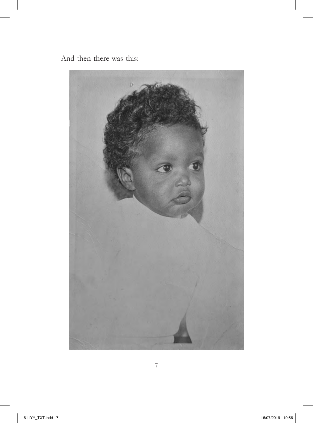And then there was this:

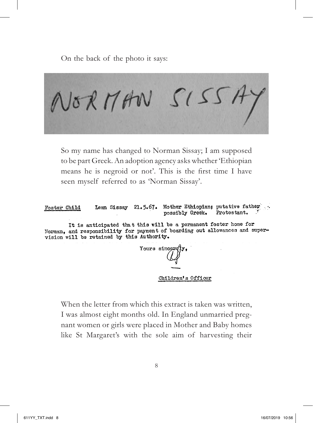On the back of the photo it says:

VORMAN SISSA

So my name has changed to Norman Sissay; I am supposed to be part Greek. An adoption agency asks whether 'Ethiopian means he is negroid or not'. This is the first time I have seen myself referred to as 'Norman Sissay'.

Lemn Sissay 21.5.67. Mother Ethiopian; putative father Foster Child possibly Greek. Protestant.

It is anticipated that this will be a permanent foster home for Norman, and responsibility for payment of boarding out allowances and supervision will be retained by this Authority.

Yours sincerely,

Children's Officer

When the letter from which this extract is taken was written, I was almost eight months old. In England unmarried pregnant women or girls were placed in Mother and Baby homes like St Margaret's with the sole aim of harvesting their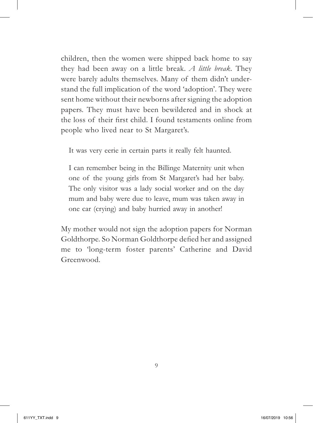children, then the women were shipped back home to say they had been away on a little break. *A little break*. They were barely adults themselves. Many of them didn't understand the full implication of the word 'adoption'. They were sent home without their newborns after signing the adoption papers. They must have been bewildered and in shock at the loss of their first child. I found testaments online from people who lived near to St Margaret's.

It was very eerie in certain parts it really felt haunted.

I can remember being in the Billinge Maternity unit when one of the young girls from St Margaret's had her baby. The only visitor was a lady social worker and on the day mum and baby were due to leave, mum was taken away in one car (crying) and baby hurried away in another!

My mother would not sign the adoption papers for Norman Goldthorpe. So Norman Goldthorpe defied her and assigned me to 'long-term foster parents' Catherine and David Greenwood.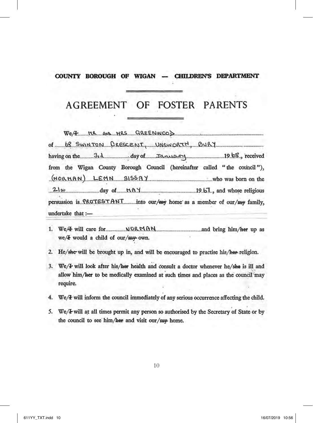#### COUNTY BOROUGH OF WIGAN . **CHILDREN'S DEPARTMENT**

## AGREEMENT OF FOSTER PARENTS

| We/Z MR AM MRS GREENWOOD                                                                                              |
|-----------------------------------------------------------------------------------------------------------------------|
| of 68 SWINTON CRESCENT, UNSWORTH, BURY                                                                                |
| having on the 3rd day of January 1958, received                                                                       |
| from the Wigan County Borough Council (hereinafter called "the council"),<br>(NORMAN) LEMN SISSAY who was born on the |
| 21st day of MAY 19.61, and whose religious<br>persuasion is PROTESTANT into our/my home as a member of our/my family, |
| undertake that :-                                                                                                     |

- 1. We F will care for NORMAN we/4 would a child of our/my-own.
- 2. He/she will be brought up in, and will be encouraged to practise his/her-religion.
- 3. We/I will look after his/her health and consult a doctor whenever he/she is ill and allow him/her to be medically examined at such times and places as the council may require.
- 4. We/4 will inform the council immediately of any serious occurrence affecting the child.
- 5. We/I will at all times permit any person so authorised by the Secretary of State or by the council to see him/her and visit our/my home.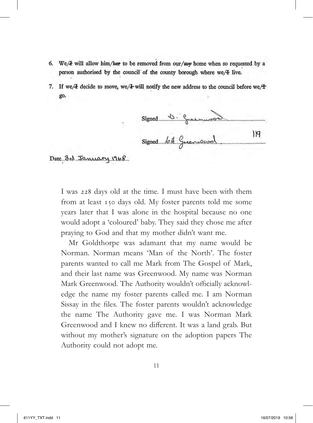- 6. We/4 will allow him/her to be removed from our/my home when so requested by a person authorised by the council of the county borough where we/4 live.
- 7. If we/*H* decide to move, we/*H* will notify the new address to the council before we/*H* go.

Signed b.f Greenwood 119

### Date 3rd January 1968

I was 228 days old at the time. I must have been with them from at least 150 days old. My foster parents told me some years later that I was alone in the hospital because no one would adopt a 'coloured' baby. They said they chose me after praying to God and that my mother didn't want me.

Mr Goldthorpe was adamant that my name would be Norman. Norman means 'Man of the North'. The foster parents wanted to call me Mark from The Gospel of Mark, and their last name was Greenwood. My name was Norman Mark Greenwood. The Authority wouldn't officially acknowledge the name my foster parents called me. I am Norman Sissay in the files. The foster parents wouldn't acknowledge the name The Authority gave me. I was Norman Mark Greenwood and I knew no different. It was a land grab. But without my mother's signature on the adoption papers The Authority could not adopt me.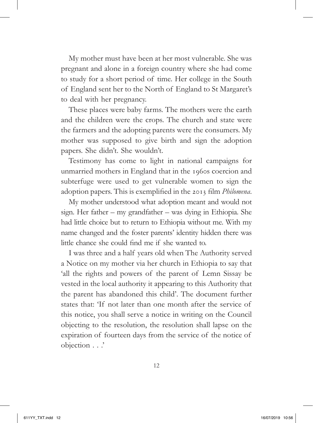My mother must have been at her most vulnerable. She was pregnant and alone in a foreign country where she had come to study for a short period of time. Her college in the South of England sent her to the North of England to St Margaret's to deal with her pregnancy.

These places were baby farms. The mothers were the earth and the children were the crops. The church and state were the farmers and the adopting parents were the consumers. My mother was supposed to give birth and sign the adoption papers. She didn't. She wouldn't.

Testimony has come to light in national campaigns for unmarried mothers in England that in the 1960s coercion and subterfuge were used to get vulnerable women to sign the adoption papers. This is exemplified in the 2013 film *Philomena*.

My mother understood what adoption meant and would not sign. Her father – my grandfather – was dying in Ethiopia. She had little choice but to return to Ethiopia without me. With my name changed and the foster parents' identity hidden there was little chance she could find me if she wanted to.

I was three and a half years old when The Authority served a Notice on my mother via her church in Ethiopia to say that 'all the rights and powers of the parent of Lemn Sissay be vested in the local authority it appearing to this Authority that the parent has abandoned this child'. The document further states that: 'If not later than one month after the service of this notice, you shall serve a notice in writing on the Council objecting to the resolution, the resolution shall lapse on the expiration of fourteen days from the service of the notice of objection . . .'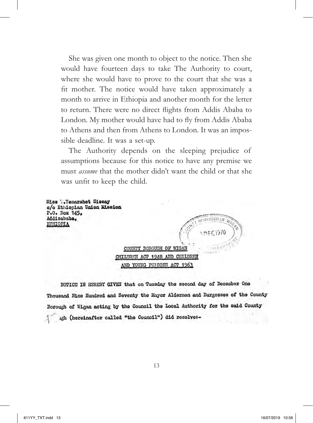She was given one month to object to the notice. Then she would have fourteen days to take The Authority to court, where she would have to prove to the court that she was a fit mother. The notice would have taken approximately a month to arrive in Ethiopia and another month for the letter to return. There were no direct flights from Addis Ababa to London. My mother would have had to fly from Addis Ababa to Athens and then from Athens to London. It was an impossible deadline. It was a set-up.

The Authority depends on the sleeping prejudice of assumptions because for this notice to have any premise we must *assume* that the mother didn't want the child or that she was unfit to keep the child.

Miss W.Yemarshet Sissay c/o Ethiopian Union Mission P.O. Box 145. Addisababa. otien or **CTHIOPIA** COUNTY BOROUGH OF WIGAN CHILDREN ACT 1948 AND CHILDREN AND YOUNG PEESONS ACT 1963

NOTICE IS HEREBY GIVEN that on Tuesday the second day of December One Thousand Nine Hundred and Seventy the Mayor Aldermen and Burgesses of the County Borough of Wigan acting by the Council the Local Authority for the said County igh (hereinafter called "the Council") did resolve:-